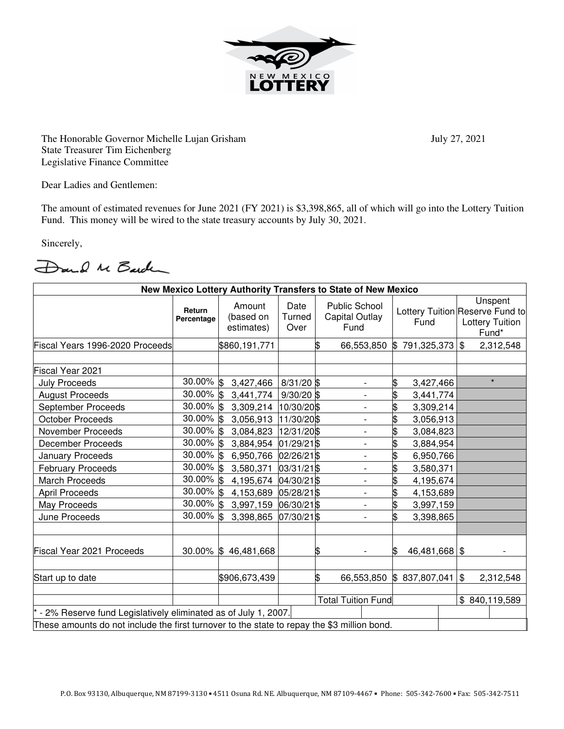

The Honorable Governor Michelle Lujan Grisham July 27, 2021 State Treasurer Tim Eichenberg Legislative Finance Committee

Dear Ladies and Gentlemen:

The amount of estimated revenues for June 2021 (FY 2021) is \$3,398,865, all of which will go into the Lottery Tuition Fund. This money will be wired to the state treasury accounts by July 30, 2021.

Sincerely,

Dand M Barden

| New Mexico Lottery Authority Transfers to State of New Mexico                               |                      |                                   |                           |    |                                                |                                         |               |  |                                            |               |
|---------------------------------------------------------------------------------------------|----------------------|-----------------------------------|---------------------------|----|------------------------------------------------|-----------------------------------------|---------------|--|--------------------------------------------|---------------|
|                                                                                             | Return<br>Percentage | Amount<br>(based on<br>estimates) | Date<br>Turned<br>Over    |    | <b>Public School</b><br>Capital Outlay<br>Fund | Lottery Tuition Reserve Fund to<br>Fund |               |  | Unspent<br><b>Lottery Tuition</b><br>Fund* |               |
| Fiscal Years 1996-2020 Proceeds                                                             |                      | \$860,191,771                     |                           | \$ | 66,553,850                                     | ß.                                      | 791,325,373   |  | \$                                         | 2,312,548     |
|                                                                                             |                      |                                   |                           |    |                                                |                                         |               |  |                                            |               |
| Fiscal Year 2021                                                                            |                      |                                   |                           |    |                                                |                                         |               |  |                                            | $\star$       |
| <b>July Proceeds</b>                                                                        | 30.00% \$            | 3,427,466                         | $8/31/20$ \$              |    |                                                | \$                                      | 3,427,466     |  |                                            |               |
| <b>August Proceeds</b>                                                                      | 30.00% \$            | 3,441,774                         | $9/30/20$ \$              |    | $\overline{\phantom{a}}$                       |                                         | 3,441,774     |  |                                            |               |
| September Proceeds                                                                          | 30.00% \$            | 3,309,214                         | 10/30/20\$                |    | $\overline{a}$                                 |                                         | 3,309,214     |  |                                            |               |
| <b>October Proceeds</b>                                                                     | 30.00% \$            | 3,056,913                         | 11/30/20 \$               |    |                                                |                                         | 3,056,913     |  |                                            |               |
| <b>November Proceeds</b>                                                                    | $30.00\%$ \$         | 3,084,823                         | 12/31/20\$                |    | $\overline{\phantom{0}}$                       | \$                                      | 3,084,823     |  |                                            |               |
| <b>December Proceeds</b>                                                                    | 30.00% \$            | 3,884,954                         | 01/29/21 \$               |    | $\overline{\phantom{a}}$                       | \$                                      | 3,884,954     |  |                                            |               |
| <b>January Proceeds</b>                                                                     | 30.00% \$            | 6,950,766                         | 02/26/21\$                |    | $\overline{\phantom{a}}$                       | \$                                      | 6,950,766     |  |                                            |               |
| <b>February Proceeds</b>                                                                    | $30.00\%$ \$         | 3,580,371                         | 03/31/21\$                |    |                                                | \$                                      | 3,580,371     |  |                                            |               |
| <b>March Proceeds</b>                                                                       | 30.00% \$            | 4,195,674                         | 04/30/21\$                |    |                                                | \$                                      | 4,195,674     |  |                                            |               |
| <b>April Proceeds</b>                                                                       | 30.00% \$            | 4,153,689                         | 05/28/21\$                |    | $\overline{\phantom{a}}$                       | \$                                      | 4,153,689     |  |                                            |               |
| May Proceeds                                                                                | $30.00\%$ \$         | 3,997,159                         | 06/30/21\$                |    | $\overline{\phantom{0}}$                       |                                         | 3,997,159     |  |                                            |               |
| June Proceeds                                                                               | $30.00\%$ \$         | 3,398,865                         | 07/30/21\$                |    |                                                |                                         | 3,398,865     |  |                                            |               |
|                                                                                             |                      |                                   |                           |    |                                                |                                         |               |  |                                            |               |
| Fiscal Year 2021 Proceeds                                                                   |                      | 30.00% \$46,481,668               |                           | ß  |                                                |                                         | 46,481,668 \$ |  |                                            |               |
| Start up to date                                                                            |                      | \$906,673,439                     |                           | \$ | 66,553,850                                     |                                         | \$837,807,041 |  | \$                                         | 2,312,548     |
|                                                                                             |                      |                                   |                           |    |                                                |                                         |               |  |                                            |               |
|                                                                                             |                      |                                   | <b>Total Tuition Fund</b> |    |                                                |                                         |               |  |                                            | \$840,119,589 |
| - 2% Reserve fund Legislatively eliminated as of July 1, 2007.                              |                      |                                   |                           |    |                                                |                                         |               |  |                                            |               |
| These amounts do not include the first turnover to the state to repay the \$3 million bond. |                      |                                   |                           |    |                                                |                                         |               |  |                                            |               |